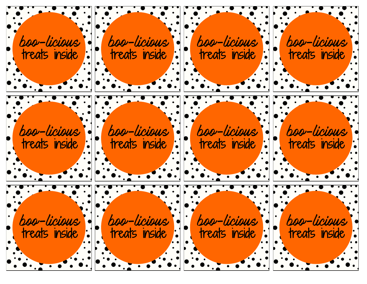